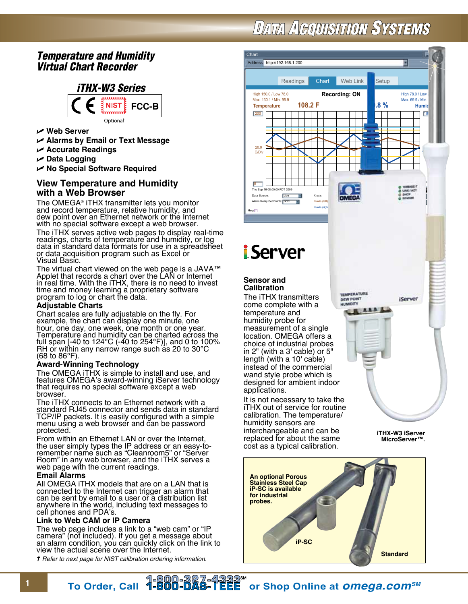# **DATA ACQUISITION SYSTEMS**

# *Temperature and Humidity Virtual Chart Recorder*



- **Web Server**
- **Alarms by Email or Text Message**
- **Accurate Readings**
- $ᡃ$  **Data Logging**
- **No Special Software Required**

# **View Temperature and Humidity with a Web Browser**

The OMEGA® iTHX transmitter lets you monitor and record temperature, relative humidity, and dew point over an Ethernet network or the Internet with no special software except a web browser. The iTHX serves active web pages to display real-time readings, charts of temperature and humidity, or log data in standard data formats for use in a spreadsheet or data acquisition program such as Excel or Visual Basic.

The virtual chart viewed on the web page is a JAVA™ Applet that records a chart over the LAN or Internet in real time. With the iTHX, there is no need to invest time and money learning a proprietary software program to log or chart the data.

## **Adjustable Charts**

Chart scales are fully adjustable on the fly. For example, the chart can display one minute, one hour, one day, one week, one month or one year. Temperature and humidity can be charted across the full span [-40 to 124°C (-40 to 254°F)], and 0 to 100% RH or within any narrow range such as 20 to  $30^{\circ}$ C (68 to 86°F).

## **Award-Winning Technology**

The OMEGA iTHX is simple to install and use, and features OMEGA's award-winning iServer technology that requires no special software except a web browser.

The iTHX connects to an Ethernet network with a standard RJ45 connector and sends data in standard TCP/IP packets. It is easily configured with a simple menu using a web browser and can be password protected.

From within an Ethernet LAN or over the Internet, the user simply types the IP address or an easy-toremember name such as "Cleanroom5" or "Server Room" in any web browser, and the iTHX serves a web page with the current readings.

### **Email Alarms**

All OMEGA iTHX models that are on a LAN that is connected to the Internet can trigger an alarm that can be sent by email to a user or a distribution list anywhere in the world, including text messages to cell phones and PDA's.

### **Link to Web CAM or IP Camera**

The web page includes a link to a "web cam" or "IP camera" (not included). If you get a message about an alarm condition, you can quickly click on the link to view the actual scene over the Internet.

*† Refer to next page for NIST calibration ordering information.*



**<sup>1</sup> To Order, Call or Shop Online at** *omega.comSM*

**iP-SC**

**Standard**